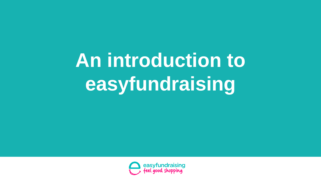**An introduction to easyfundraising**

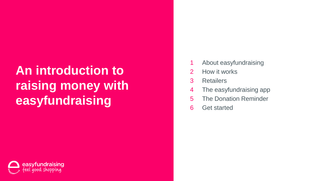## **An introduction to raising money with easyfundraising**

- About easyfundraising
- How it works
- Retailers
- The easyfundraising app
- The Donation Reminder
- Get started

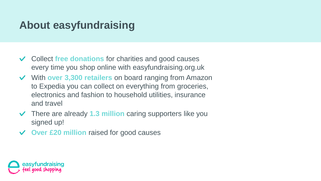#### **About easyfundraising**

- Collect **free donations** for charities and good causes every time you shop online with easyfundraising.org.uk
- With **over 3,300 retailers** on board ranging from Amazon to Expedia you can collect on everything from groceries, electronics and fashion to household utilities, insurance and travel
- There are already **1.3 million** caring supporters like you  $\vee$ signed up!
- **Over £20 million** raised for good causes

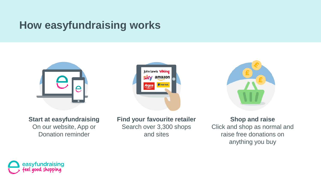#### **How easyfundraising works**



**Start at easyfundraising**  On our website, App or Donation reminder



**Find your favourite retailer**  Search over 3,300 shops and sites



**Shop and raise** Click and shop as normal and raise free donations on anything you buy

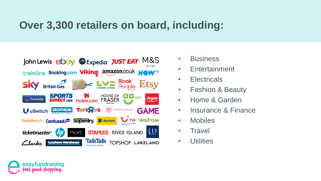#### **Over 3,300 retailers on board, including:**



easyfundraising aood shoppina

- **Business**
- Entertainment
- **Electricals**
- Fashion & Beauty
- Home & Garden
- Insurance & Finance
- Mobiles
- **Travel**
- **Utilities**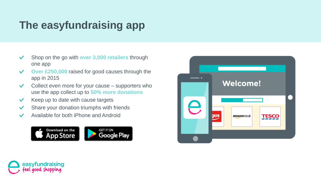### **The easyfundraising app**

- Shop on the go with **over 3,000 retailers** through  $\checkmark$ one app
- $\checkmark$ **Over £250,000** raised for good causes through the app in 2015
- Collect even more for your cause supporters who  $\checkmark$ use the app collect up to **50% more donations**
- $\checkmark$ Keep up to date with cause targets
- Share your donation triumphs with friends  $\checkmark$
- Available for both iPhone and Android $\checkmark$





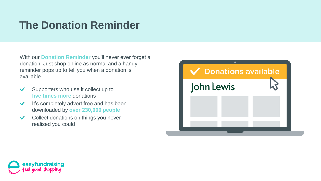#### **The Donation Reminder**

With our **Donation Reminder** you'll never ever forget a donation. Just shop online as normal and a handy reminder pops up to tell you when a donation is available.

- Supporters who use it collect up to  $\checkmark$ **five times more** donations
- It's completely advert free and has been  $\checkmark$ downloaded by **over 230,000 people**
- Collect donations on things you never  $\checkmark$ realised you could